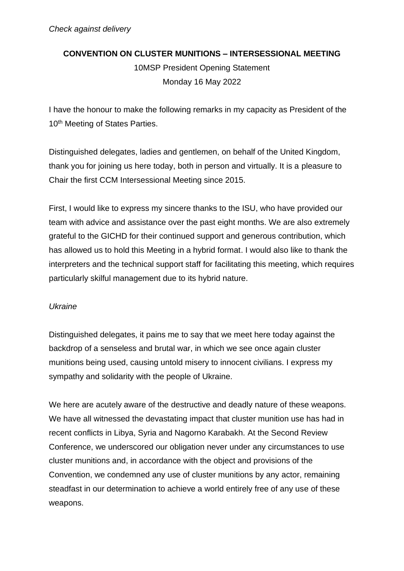# **CONVENTION ON CLUSTER MUNITIONS – INTERSESSIONAL MEETING**

10MSP President Opening Statement Monday 16 May 2022

I have the honour to make the following remarks in my capacity as President of the 10<sup>th</sup> Meeting of States Parties.

Distinguished delegates, ladies and gentlemen, on behalf of the United Kingdom, thank you for joining us here today, both in person and virtually. It is a pleasure to Chair the first CCM Intersessional Meeting since 2015.

First, I would like to express my sincere thanks to the ISU, who have provided our team with advice and assistance over the past eight months. We are also extremely grateful to the GICHD for their continued support and generous contribution, which has allowed us to hold this Meeting in a hybrid format. I would also like to thank the interpreters and the technical support staff for facilitating this meeting, which requires particularly skilful management due to its hybrid nature.

# *Ukraine*

Distinguished delegates, it pains me to say that we meet here today against the backdrop of a senseless and brutal war, in which we see once again cluster munitions being used, causing untold misery to innocent civilians. I express my sympathy and solidarity with the people of Ukraine.

We here are acutely aware of the destructive and deadly nature of these weapons. We have all witnessed the devastating impact that cluster munition use has had in recent conflicts in Libya, Syria and Nagorno Karabakh. At the Second Review Conference, we underscored our obligation never under any circumstances to use cluster munitions and, in accordance with the object and provisions of the Convention, we condemned any use of cluster munitions by any actor, remaining steadfast in our determination to achieve a world entirely free of any use of these weapons.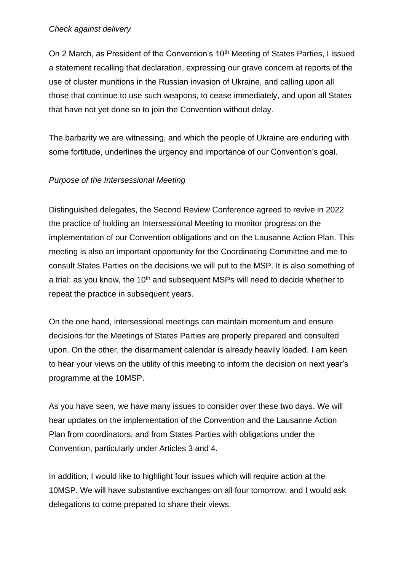#### *Check against delivery*

On 2 March, as President of the Convention's 10<sup>th</sup> Meeting of States Parties, I issued a statement recalling that declaration, expressing our grave concern at reports of the use of cluster munitions in the Russian invasion of Ukraine, and calling upon all those that continue to use such weapons, to cease immediately, and upon all States that have not yet done so to join the Convention without delay.

The barbarity we are witnessing, and which the people of Ukraine are enduring with some fortitude, underlines the urgency and importance of our Convention's goal.

## *Purpose of the Intersessional Meeting*

Distinguished delegates, the Second Review Conference agreed to revive in 2022 the practice of holding an Intersessional Meeting to monitor progress on the implementation of our Convention obligations and on the Lausanne Action Plan. This meeting is also an important opportunity for the Coordinating Committee and me to consult States Parties on the decisions we will put to the MSP. It is also something of a trial: as you know, the 10<sup>th</sup> and subsequent MSPs will need to decide whether to repeat the practice in subsequent years.

On the one hand, intersessional meetings can maintain momentum and ensure decisions for the Meetings of States Parties are properly prepared and consulted upon. On the other, the disarmament calendar is already heavily loaded. I am keen to hear your views on the utility of this meeting to inform the decision on next year's programme at the 10MSP.

As you have seen, we have many issues to consider over these two days. We will hear updates on the implementation of the Convention and the Lausanne Action Plan from coordinators, and from States Parties with obligations under the Convention, particularly under Articles 3 and 4.

In addition, I would like to highlight four issues which will require action at the 10MSP. We will have substantive exchanges on all four tomorrow, and I would ask delegations to come prepared to share their views.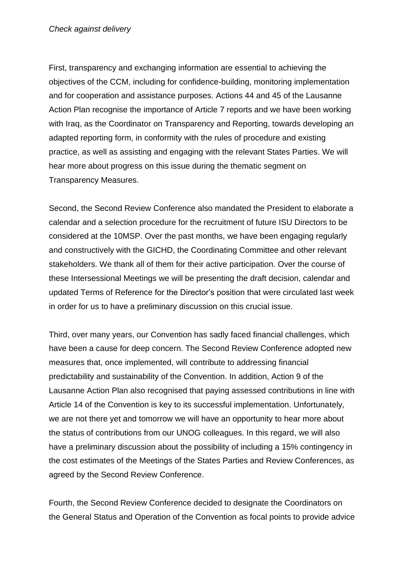First, transparency and exchanging information are essential to achieving the objectives of the CCM, including for confidence-building, monitoring implementation and for cooperation and assistance purposes. Actions 44 and 45 of the Lausanne Action Plan recognise the importance of Article 7 reports and we have been working with Iraq, as the Coordinator on Transparency and Reporting, towards developing an adapted reporting form, in conformity with the rules of procedure and existing practice, as well as assisting and engaging with the relevant States Parties. We will hear more about progress on this issue during the thematic segment on Transparency Measures.

Second, the Second Review Conference also mandated the President to elaborate a calendar and a selection procedure for the recruitment of future ISU Directors to be considered at the 10MSP. Over the past months, we have been engaging regularly and constructively with the GICHD, the Coordinating Committee and other relevant stakeholders. We thank all of them for their active participation. Over the course of these Intersessional Meetings we will be presenting the draft decision, calendar and updated Terms of Reference for the Director's position that were circulated last week in order for us to have a preliminary discussion on this crucial issue.

Third, over many years, our Convention has sadly faced financial challenges, which have been a cause for deep concern. The Second Review Conference adopted new measures that, once implemented, will contribute to addressing financial predictability and sustainability of the Convention. In addition, Action 9 of the Lausanne Action Plan also recognised that paying assessed contributions in line with Article 14 of the Convention is key to its successful implementation. Unfortunately, we are not there yet and tomorrow we will have an opportunity to hear more about the status of contributions from our UNOG colleagues. In this regard, we will also have a preliminary discussion about the possibility of including a 15% contingency in the cost estimates of the Meetings of the States Parties and Review Conferences, as agreed by the Second Review Conference.

Fourth, the Second Review Conference decided to designate the Coordinators on the General Status and Operation of the Convention as focal points to provide advice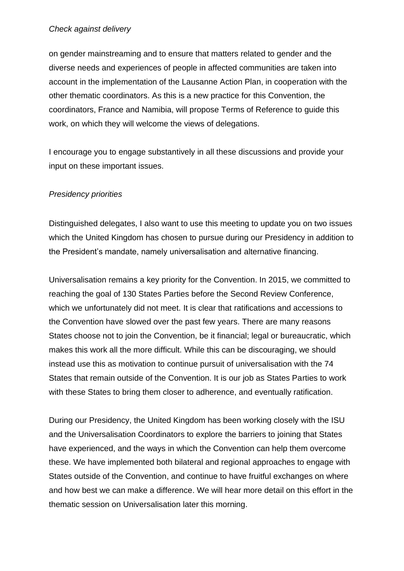#### *Check against delivery*

on gender mainstreaming and to ensure that matters related to gender and the diverse needs and experiences of people in affected communities are taken into account in the implementation of the Lausanne Action Plan, in cooperation with the other thematic coordinators. As this is a new practice for this Convention, the coordinators, France and Namibia, will propose Terms of Reference to guide this work, on which they will welcome the views of delegations.

I encourage you to engage substantively in all these discussions and provide your input on these important issues.

## *Presidency priorities*

Distinguished delegates, I also want to use this meeting to update you on two issues which the United Kingdom has chosen to pursue during our Presidency in addition to the President's mandate, namely universalisation and alternative financing.

Universalisation remains a key priority for the Convention. In 2015, we committed to reaching the goal of 130 States Parties before the Second Review Conference, which we unfortunately did not meet. It is clear that ratifications and accessions to the Convention have slowed over the past few years. There are many reasons States choose not to join the Convention, be it financial; legal or bureaucratic, which makes this work all the more difficult. While this can be discouraging, we should instead use this as motivation to continue pursuit of universalisation with the 74 States that remain outside of the Convention. It is our job as States Parties to work with these States to bring them closer to adherence, and eventually ratification.

During our Presidency, the United Kingdom has been working closely with the ISU and the Universalisation Coordinators to explore the barriers to joining that States have experienced, and the ways in which the Convention can help them overcome these. We have implemented both bilateral and regional approaches to engage with States outside of the Convention, and continue to have fruitful exchanges on where and how best we can make a difference. We will hear more detail on this effort in the thematic session on Universalisation later this morning.